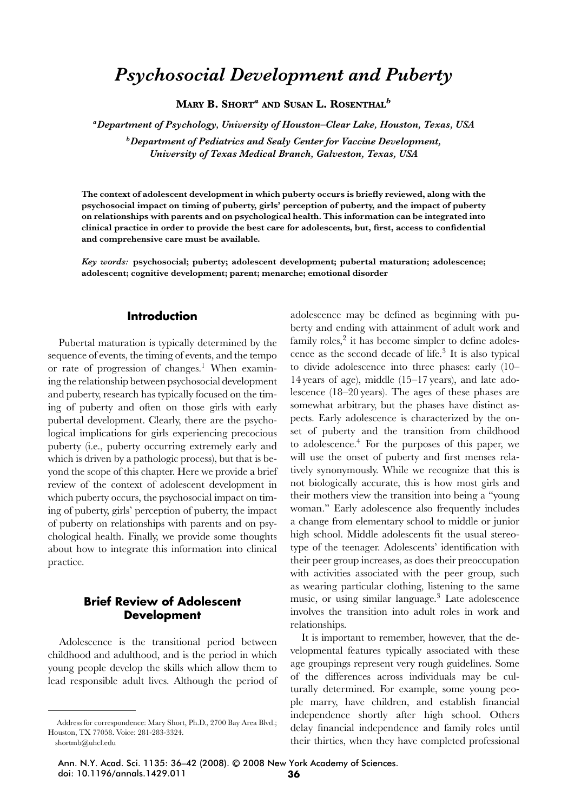# *Psychosocial Development and Puberty*

**MARY B. SHORT***<sup>a</sup>* **AND SUSAN L. ROSENTHAL***<sup>b</sup>*

*aDepartment of Psychology, University of Houston–Clear Lake, Houston, Texas, USA*

*bDepartment of Pediatrics and Sealy Center for Vaccine Development, University of Texas Medical Branch, Galveston, Texas, USA*

**The context of adolescent development in which puberty occurs is briefly reviewed, along with the psychosocial impact on timing of puberty, girls' perception of puberty, and the impact of puberty on relationships with parents and on psychological health. This information can be integrated into clinical practice in order to provide the best care for adolescents, but, first, access to confidential and comprehensive care must be available.**

*Key words:* **psychosocial; puberty; adolescent development; pubertal maturation; adolescence; adolescent; cognitive development; parent; menarche; emotional disorder**

#### **Introduction**

Pubertal maturation is typically determined by the sequence of events, the timing of events, and the tempo or rate of progression of changes.<sup>1</sup> When examining the relationship between psychosocial development and puberty, research has typically focused on the timing of puberty and often on those girls with early pubertal development. Clearly, there are the psychological implications for girls experiencing precocious puberty (i.e., puberty occurring extremely early and which is driven by a pathologic process), but that is beyond the scope of this chapter. Here we provide a brief review of the context of adolescent development in which puberty occurs, the psychosocial impact on timing of puberty, girls' perception of puberty, the impact of puberty on relationships with parents and on psychological health. Finally, we provide some thoughts about how to integrate this information into clinical practice.

# **Brief Review of Adolescent Development**

Adolescence is the transitional period between childhood and adulthood, and is the period in which young people develop the skills which allow them to lead responsible adult lives. Although the period of adolescence may be defined as beginning with puberty and ending with attainment of adult work and family roles, $2$  it has become simpler to define adolescence as the second decade of life.3 It is also typical to divide adolescence into three phases: early (10– 14 years of age), middle (15–17 years), and late adolescence (18–20 years). The ages of these phases are somewhat arbitrary, but the phases have distinct aspects. Early adolescence is characterized by the onset of puberty and the transition from childhood to adolescence. $4$  For the purposes of this paper, we will use the onset of puberty and first menses relatively synonymously. While we recognize that this is not biologically accurate, this is how most girls and their mothers view the transition into being a "young woman." Early adolescence also frequently includes a change from elementary school to middle or junior high school. Middle adolescents fit the usual stereotype of the teenager. Adolescents' identification with their peer group increases, as does their preoccupation with activities associated with the peer group, such as wearing particular clothing, listening to the same music, or using similar language.3 Late adolescence involves the transition into adult roles in work and relationships.

It is important to remember, however, that the developmental features typically associated with these age groupings represent very rough guidelines. Some of the differences across individuals may be culturally determined. For example, some young people marry, have children, and establish financial independence shortly after high school. Others delay financial independence and family roles until their thirties, when they have completed professional

Ann. N.Y. Acad. Sci. 1135: 36–42 (2008). © 2008 New York Academy of Sciences. doi: 10.1196/annals.1429.011 **36**

Address for correspondence: Mary Short, Ph.D., 2700 Bay Area Blvd.; Houston, TX 77058. Voice: 281-283-3324.

shortmb@uhcl.edu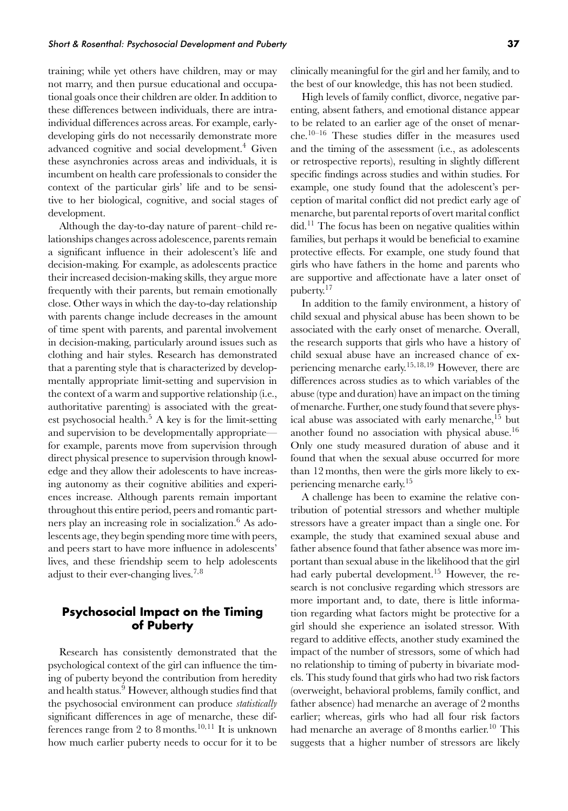training; while yet others have children, may or may not marry, and then pursue educational and occupational goals once their children are older. In addition to these differences between individuals, there are intraindividual differences across areas. For example, earlydeveloping girls do not necessarily demonstrate more advanced cognitive and social development.<sup>4</sup> Given these asynchronies across areas and individuals, it is incumbent on health care professionals to consider the context of the particular girls' life and to be sensitive to her biological, cognitive, and social stages of development.

Although the day-to-day nature of parent–child relationships changes across adolescence, parents remain a significant influence in their adolescent's life and decision-making. For example, as adolescents practice their increased decision-making skills, they argue more frequently with their parents, but remain emotionally close. Other ways in which the day-to-day relationship with parents change include decreases in the amount of time spent with parents, and parental involvement in decision-making, particularly around issues such as clothing and hair styles. Research has demonstrated that a parenting style that is characterized by developmentally appropriate limit-setting and supervision in the context of a warm and supportive relationship (i.e., authoritative parenting) is associated with the greatest psychosocial health. $5$  A key is for the limit-setting and supervision to be developmentally appropriate for example, parents move from supervision through direct physical presence to supervision through knowledge and they allow their adolescents to have increasing autonomy as their cognitive abilities and experiences increase. Although parents remain important throughout this entire period, peers and romantic partners play an increasing role in socialization.<sup>6</sup> As adolescents age, they begin spending more time with peers, and peers start to have more influence in adolescents' lives, and these friendship seem to help adolescents adjust to their ever-changing lives.7*,*<sup>8</sup>

# **Psychosocial Impact on the Timing of Puberty**

Research has consistently demonstrated that the psychological context of the girl can influence the timing of puberty beyond the contribution from heredity and health status.<sup>9</sup> However, although studies find that the psychosocial environment can produce *statistically* significant differences in age of menarche, these differences range from 2 to 8 months.<sup>10</sup>*,*<sup>11</sup> It is unknown how much earlier puberty needs to occur for it to be clinically meaningful for the girl and her family, and to the best of our knowledge, this has not been studied.

High levels of family conflict, divorce, negative parenting, absent fathers, and emotional distance appear to be related to an earlier age of the onset of menarche.10–16 These studies differ in the measures used and the timing of the assessment (i.e., as adolescents or retrospective reports), resulting in slightly different specific findings across studies and within studies. For example, one study found that the adolescent's perception of marital conflict did not predict early age of menarche, but parental reports of overt marital conflict  $\text{did.}^{11}$  The focus has been on negative qualities within families, but perhaps it would be beneficial to examine protective effects. For example, one study found that girls who have fathers in the home and parents who are supportive and affectionate have a later onset of puberty.<sup>17</sup>

In addition to the family environment, a history of child sexual and physical abuse has been shown to be associated with the early onset of menarche. Overall, the research supports that girls who have a history of child sexual abuse have an increased chance of experiencing menarche early.<sup>15</sup>*,*18*,*<sup>19</sup> However, there are differences across studies as to which variables of the abuse (type and duration) have an impact on the timing of menarche. Further, one study found that severe physical abuse was associated with early menarche,<sup>15</sup> but another found no association with physical abuse.<sup>16</sup> Only one study measured duration of abuse and it found that when the sexual abuse occurred for more than 12 months, then were the girls more likely to experiencing menarche early.<sup>15</sup>

A challenge has been to examine the relative contribution of potential stressors and whether multiple stressors have a greater impact than a single one. For example, the study that examined sexual abuse and father absence found that father absence was more important than sexual abuse in the likelihood that the girl had early pubertal development.<sup>15</sup> However, the research is not conclusive regarding which stressors are more important and, to date, there is little information regarding what factors might be protective for a girl should she experience an isolated stressor. With regard to additive effects, another study examined the impact of the number of stressors, some of which had no relationship to timing of puberty in bivariate models. This study found that girls who had two risk factors (overweight, behavioral problems, family conflict, and father absence) had menarche an average of 2 months earlier; whereas, girls who had all four risk factors had menarche an average of 8 months earlier.<sup>10</sup> This suggests that a higher number of stressors are likely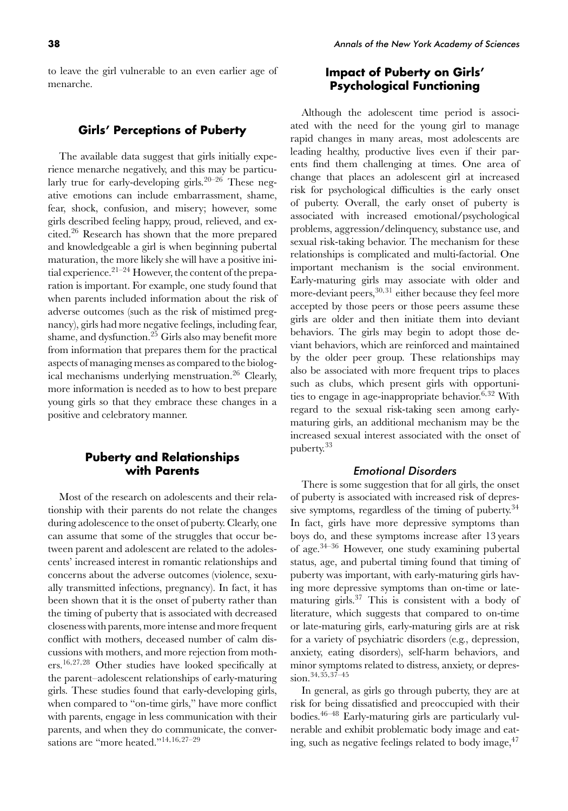to leave the girl vulnerable to an even earlier age of menarche.

## **Girls' Perceptions of Puberty**

The available data suggest that girls initially experience menarche negatively, and this may be particularly true for early-developing girls.<sup>20–26</sup> These negative emotions can include embarrassment, shame, fear, shock, confusion, and misery; however, some girls described feeling happy, proud, relieved, and excited.<sup>26</sup> Research has shown that the more prepared and knowledgeable a girl is when beginning pubertal maturation, the more likely she will have a positive initial experience.<sup>21–24</sup> However, the content of the preparation is important. For example, one study found that when parents included information about the risk of adverse outcomes (such as the risk of mistimed pregnancy), girls had more negative feelings, including fear, shame, and dysfunction.<sup>25</sup> Girls also may benefit more from information that prepares them for the practical aspects of managing menses as compared to the biological mechanisms underlying menstruation.<sup>26</sup> Clearly, more information is needed as to how to best prepare young girls so that they embrace these changes in a positive and celebratory manner.

## **Puberty and Relationships with Parents**

Most of the research on adolescents and their relationship with their parents do not relate the changes during adolescence to the onset of puberty. Clearly, one can assume that some of the struggles that occur between parent and adolescent are related to the adolescents' increased interest in romantic relationships and concerns about the adverse outcomes (violence, sexually transmitted infections, pregnancy). In fact, it has been shown that it is the onset of puberty rather than the timing of puberty that is associated with decreased closeness with parents, more intense and more frequent conflict with mothers, deceased number of calm discussions with mothers, and more rejection from mothers.<sup>16</sup>*,*27*,*<sup>28</sup> Other studies have looked specifically at the parent–adolescent relationships of early-maturing girls. These studies found that early-developing girls, when compared to "on-time girls," have more conflict with parents, engage in less communication with their parents, and when they do communicate, the conversations are "more heated."14*,*16*,*27–29

# **Impact of Puberty on Girls' Psychological Functioning**

Although the adolescent time period is associated with the need for the young girl to manage rapid changes in many areas, most adolescents are leading healthy, productive lives even if their parents find them challenging at times. One area of change that places an adolescent girl at increased risk for psychological difficulties is the early onset of puberty. Overall, the early onset of puberty is associated with increased emotional/psychological problems, aggression/delinquency, substance use, and sexual risk-taking behavior. The mechanism for these relationships is complicated and multi-factorial. One important mechanism is the social environment. Early-maturing girls may associate with older and more-deviant peers,<sup>30,31</sup> either because they feel more accepted by those peers or those peers assume these girls are older and then initiate them into deviant behaviors. The girls may begin to adopt those deviant behaviors, which are reinforced and maintained by the older peer group. These relationships may also be associated with more frequent trips to places such as clubs, which present girls with opportunities to engage in age-inappropriate behavior.<sup>6,32</sup> With regard to the sexual risk-taking seen among earlymaturing girls, an additional mechanism may be the increased sexual interest associated with the onset of puberty.<sup>33</sup>

#### Emotional Disorders

There is some suggestion that for all girls, the onset of puberty is associated with increased risk of depressive symptoms, regardless of the timing of puberty.<sup>34</sup> In fact, girls have more depressive symptoms than boys do, and these symptoms increase after 13 years of age.34–36 However, one study examining pubertal status, age, and pubertal timing found that timing of puberty was important, with early-maturing girls having more depressive symptoms than on-time or latematuring girls. $37$  This is consistent with a body of literature, which suggests that compared to on-time or late-maturing girls, early-maturing girls are at risk for a variety of psychiatric disorders (e.g., depression, anxiety, eating disorders), self-harm behaviors, and minor symptoms related to distress, anxiety, or depression.<sup>34</sup>*,*35*,*37–45

In general, as girls go through puberty, they are at risk for being dissatisfied and preoccupied with their bodies.46–48 Early-maturing girls are particularly vulnerable and exhibit problematic body image and eating, such as negative feelings related to body image,  $47$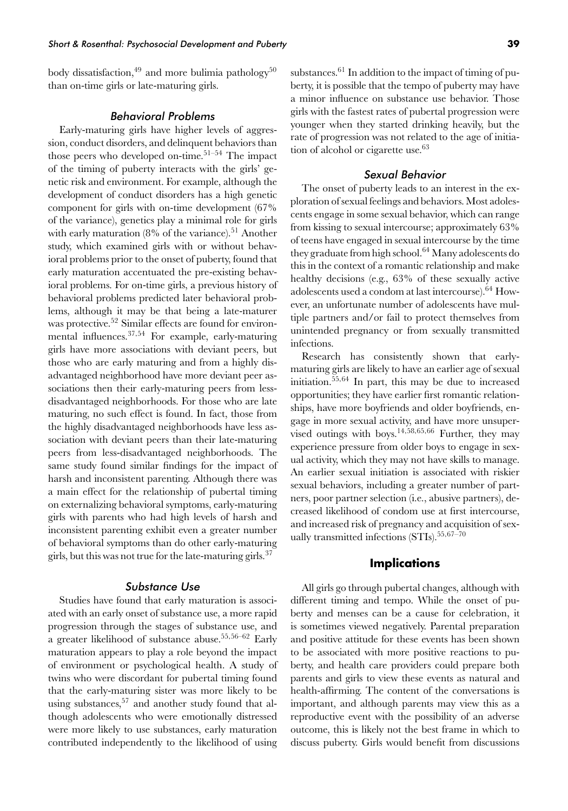body dissatisfaction,<sup>49</sup> and more bulimia pathology<sup>50</sup> than on-time girls or late-maturing girls.

### Behavioral Problems

Early-maturing girls have higher levels of aggression, conduct disorders, and delinquent behaviors than those peers who developed on-time.<sup>51–54</sup> The impact of the timing of puberty interacts with the girls' genetic risk and environment. For example, although the development of conduct disorders has a high genetic component for girls with on-time development (67% of the variance), genetics play a minimal role for girls with early maturation  $(8\%$  of the variance).<sup>51</sup> Another study, which examined girls with or without behavioral problems prior to the onset of puberty, found that early maturation accentuated the pre-existing behavioral problems. For on-time girls, a previous history of behavioral problems predicted later behavioral problems, although it may be that being a late-maturer was protective.<sup>52</sup> Similar effects are found for environmental influences.<sup>37</sup>*,*<sup>54</sup> For example, early-maturing girls have more associations with deviant peers, but those who are early maturing and from a highly disadvantaged neighborhood have more deviant peer associations then their early-maturing peers from lessdisadvantaged neighborhoods. For those who are late maturing, no such effect is found. In fact, those from the highly disadvantaged neighborhoods have less association with deviant peers than their late-maturing peers from less-disadvantaged neighborhoods. The same study found similar findings for the impact of harsh and inconsistent parenting. Although there was a main effect for the relationship of pubertal timing on externalizing behavioral symptoms, early-maturing girls with parents who had high levels of harsh and inconsistent parenting exhibit even a greater number of behavioral symptoms than do other early-maturing girls, but this was not true for the late-maturing girls.<sup>37</sup>

#### Substance Use

Studies have found that early maturation is associated with an early onset of substance use, a more rapid progression through the stages of substance use, and a greater likelihood of substance abuse.55*,*56–62 Early maturation appears to play a role beyond the impact of environment or psychological health. A study of twins who were discordant for pubertal timing found that the early-maturing sister was more likely to be using substances,  $57$  and another study found that although adolescents who were emotionally distressed were more likely to use substances, early maturation contributed independently to the likelihood of using substances. $61$  In addition to the impact of timing of puberty, it is possible that the tempo of puberty may have a minor influence on substance use behavior. Those girls with the fastest rates of pubertal progression were younger when they started drinking heavily, but the rate of progression was not related to the age of initiation of alcohol or cigarette use.<sup>63</sup>

#### Sexual Behavior

The onset of puberty leads to an interest in the exploration of sexual feelings and behaviors. Most adolescents engage in some sexual behavior, which can range from kissing to sexual intercourse; approximately 63% of teens have engaged in sexual intercourse by the time they graduate from high school.<sup>64</sup> Many adolescents do this in the context of a romantic relationship and make healthy decisions (e.g., 63% of these sexually active adolescents used a condom at last intercourse).64 However, an unfortunate number of adolescents have multiple partners and/or fail to protect themselves from unintended pregnancy or from sexually transmitted infections.

Research has consistently shown that earlymaturing girls are likely to have an earlier age of sexual initiation.55*,*<sup>64</sup> In part, this may be due to increased opportunities; they have earlier first romantic relationships, have more boyfriends and older boyfriends, engage in more sexual activity, and have more unsupervised outings with boys.<sup>14</sup>*,*58*,*65*,*<sup>66</sup> Further, they may experience pressure from older boys to engage in sexual activity, which they may not have skills to manage. An earlier sexual initiation is associated with riskier sexual behaviors, including a greater number of partners, poor partner selection (i.e., abusive partners), decreased likelihood of condom use at first intercourse, and increased risk of pregnancy and acquisition of sexually transmitted infections (STIs).<sup>55</sup>*,*67–70

## **Implications**

All girls go through pubertal changes, although with different timing and tempo. While the onset of puberty and menses can be a cause for celebration, it is sometimes viewed negatively. Parental preparation and positive attitude for these events has been shown to be associated with more positive reactions to puberty, and health care providers could prepare both parents and girls to view these events as natural and health-affirming. The content of the conversations is important, and although parents may view this as a reproductive event with the possibility of an adverse outcome, this is likely not the best frame in which to discuss puberty. Girls would benefit from discussions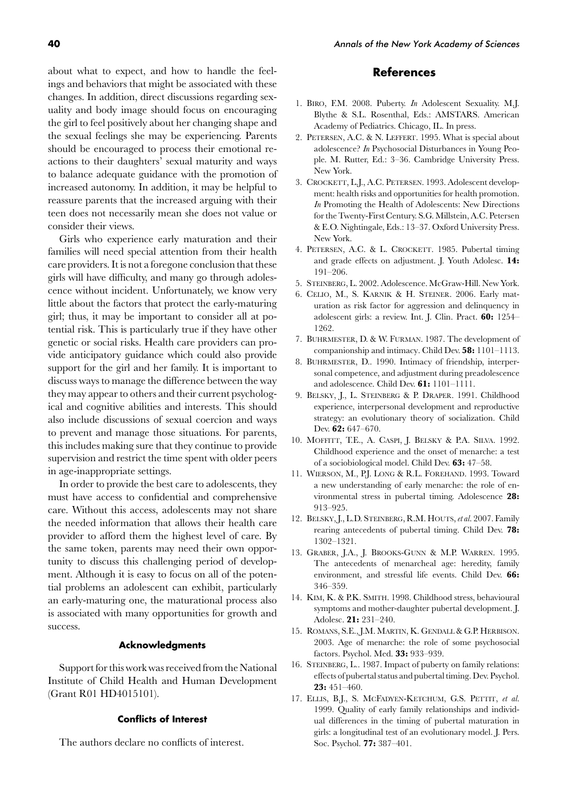about what to expect, and how to handle the feelings and behaviors that might be associated with these changes. In addition, direct discussions regarding sexuality and body image should focus on encouraging the girl to feel positively about her changing shape and the sexual feelings she may be experiencing. Parents should be encouraged to process their emotional reactions to their daughters' sexual maturity and ways to balance adequate guidance with the promotion of increased autonomy. In addition, it may be helpful to reassure parents that the increased arguing with their teen does not necessarily mean she does not value or consider their views.

Girls who experience early maturation and their families will need special attention from their health care providers. It is not a foregone conclusion that these girls will have difficulty, and many go through adolescence without incident. Unfortunately, we know very little about the factors that protect the early-maturing girl; thus, it may be important to consider all at potential risk. This is particularly true if they have other genetic or social risks. Health care providers can provide anticipatory guidance which could also provide support for the girl and her family. It is important to discuss ways to manage the difference between the way they may appear to others and their current psychological and cognitive abilities and interests. This should also include discussions of sexual coercion and ways to prevent and manage those situations. For parents, this includes making sure that they continue to provide supervision and restrict the time spent with older peers in age-inappropriate settings.

In order to provide the best care to adolescents, they must have access to confidential and comprehensive care. Without this access, adolescents may not share the needed information that allows their health care provider to afford them the highest level of care. By the same token, parents may need their own opportunity to discuss this challenging period of development. Although it is easy to focus on all of the potential problems an adolescent can exhibit, particularly an early-maturing one, the maturational process also is associated with many opportunities for growth and success.

#### **Acknowledgments**

Support for this work was received from the National Institute of Child Health and Human Development (Grant R01 HD4015101).

#### **Conflicts of Interest**

The authors declare no conflicts of interest.

#### **References**

- 1. BIRO, F.M. 2008. Puberty. *In* Adolescent Sexuality. M.J. Blythe & S.L. Rosenthal, Eds.: AMSTARS. American Academy of Pediatrics. Chicago, IL. In press.
- 2. PETERSEN, A.C. & N. LEFFERT. 1995. What is special about adolescence? *In* Psychosocial Disturbances in Young People. M. Rutter, Ed.: 3–36. Cambridge University Press. New York.
- 3. CROCKETT, L.J., A.C. PETERSEN. 1993. Adolescent development: health risks and opportunities for health promotion. *In* Promoting the Health of Adolescents: New Directions for the Twenty-First Century. S.G. Millstein, A.C. Petersen & E.O. Nightingale, Eds.: 13–37. Oxford University Press. New York.
- 4. PETERSEN, A.C. & L. CROCKETT. 1985. Pubertal timing and grade effects on adjustment. J. Youth Adolesc. **14:** 191–206.
- 5. STEINBERG, L. 2002. Adolescence. McGraw-Hill. New York.
- 6. CELIO, M., S. KARNIK & H. STEINER. 2006. Early maturation as risk factor for aggression and delinquency in adolescent girls: a review. Int. J. Clin. Pract. **60:** 1254– 1262.
- 7. BUHRMESTER, D. & W. FURMAN. 1987. The development of companionship and intimacy. Child Dev. **58:** 1101–1113.
- 8. BUHRMESTER, D.. 1990. Intimacy of friendship, interpersonal competence, and adjustment during preadolescence and adolescence. Child Dev. **61:** 1101–1111.
- 9. BELSKY, J., L. STEINBERG & P. DRAPER. 1991. Childhood experience, interpersonal development and reproductive strategy: an evolutionary theory of socialization. Child Dev. **62:** 647–670.
- 10. MOFFITT, T.E., A. CASPI, J. BELSKY & P.A. SILVA. 1992. Childhood experience and the onset of menarche: a test of a sociobiological model. Child Dev. **63:** 47–58.
- 11. WIERSON, M., P.J. LONG & R.L. FOREHAND. 1993. Toward a new understanding of early menarche: the role of environmental stress in pubertal timing. Adolescence **28:** 913–925.
- 12. BELSKY, J., L.D. STEINBERG, R.M. HOUTS, *et al.* 2007. Family rearing antecedents of pubertal timing. Child Dev. **78:** 1302–1321.
- 13. GRABER, J.A., J. BROOKS-GUNN & M.P. WARREN. 1995. The antecedents of menarcheal age: heredity, family environment, and stressful life events. Child Dev. **66:** 346–359.
- 14. KIM, K. & P.K. SMITH. 1998. Childhood stress, behavioural symptoms and mother-daughter pubertal development. J. Adolesc. **21:** 231–240.
- 15. ROMANS, S.E., J.M. MARTIN, K. GENDALL & G.P. HERBISON. 2003. Age of menarche: the role of some psychosocial factors. Psychol. Med. **33:** 933–939.
- 16. STEINBERG, L.. 1987. Impact of puberty on family relations: effects of pubertal status and pubertal timing. Dev. Psychol. **23:** 451–460.
- 17. ELLIS, B.J., S. MCFADYEN-KETCHUM, G.S. PETTIT, *et al.* 1999. Quality of early family relationships and individual differences in the timing of pubertal maturation in girls: a longitudinal test of an evolutionary model. J. Pers. Soc. Psychol. **77:** 387–401.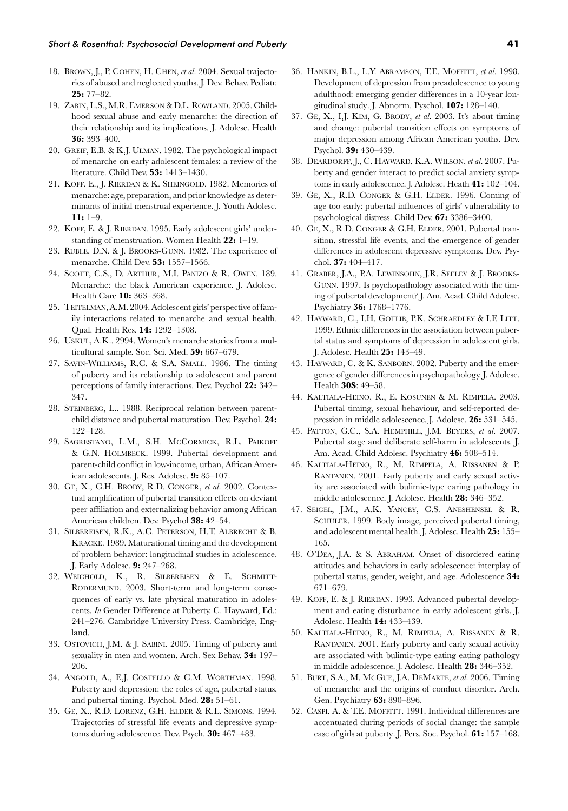- 18. BROWN, J., P. COHEN, H. CHEN, *et al.* 2004. Sexual trajectories of abused and neglected youths. J. Dev. Behav. Pediatr. **25:** 77–82.
- 19. ZABIN, L.S., M.R. EMERSON & D.L. ROWLAND. 2005. Childhood sexual abuse and early menarche: the direction of their relationship and its implications. J. Adolesc. Health **36:** 393–400.
- 20. GREIF, E.B. & K.J. ULMAN. 1982. The psychological impact of menarche on early adolescent females: a review of the literature. Child Dev. **53:** 1413–1430.
- 21. KOFF, E., J. RIERDAN & K. SHEINGOLD. 1982. Memories of menarche: age, preparation, and prior knowledge as determinants of initial menstrual experience. J. Youth Adolesc. **11:** 1–9.
- 22. KOFF, E. & J. RIERDAN. 1995. Early adolescent girls' understanding of menstruation. Women Health **22:** 1–19.
- 23. RUBLE, D.N. & J. BROOKS-GUNN. 1982. The experience of menarche. Child Dev. **53:** 1557–1566.
- 24. SCOTT, C.S., D. ARTHUR, M.I. PANIZO & R. OWEN. 189. Menarche: the black American experience. J. Adolesc. Health Care **10:** 363–368.
- 25. TEITELMAN, A.M. 2004. Adolescent girls' perspective of family interactions related to menarche and sexual health. Qual. Health Res. **14:** 1292–1308.
- 26. USKUL, A.K.. 2994. Women's menarche stories from a multicultural sample. Soc. Sci. Med. **59:** 667–679.
- 27. SAVIN-WILLIAMS, R.C. & S.A. SMALL. 1986. The timing of puberty and its relationship to adolescent and parent perceptions of family interactions. Dev. Psychol **22:** 342– 347.
- 28. STEINBERG, L.. 1988. Reciprocal relation between parentchild distance and pubertal maturation. Dev. Psychol. **24:** 122–128.
- 29. SAGRESTANO, L.M., S.H. MCCORMICK, R.L. PAIKOFF & G.N. HOLMBECK. 1999. Pubertal development and parent-child conflict in low-income, urban, African American adolescents. J. Res. Adolesc. **9:** 85–107.
- 30. GE, X., G.H. BRODY, R.D. CONGER, *et al.* 2002. Contextual amplification of pubertal transition effects on deviant peer affiliation and externalizing behavior among African American children. Dev. Psychol **38:** 42–54.
- 31. SILBEREISEN, R.K., A.C. PETERSON, H.T. ALBRECHT & B. KRACKE. 1989. Maturational timing and the development of problem behavior: longitudinal studies in adolescence. J. Early Adolesc. **9:** 247–268.
- 32. WEICHOLD, K., R. SILBEREISEN & E. SCHMITT-RODERMUND. 2003. Short-term and long-term consequences of early vs. late physical maturation in adolescents. *In* Gender Difference at Puberty. C. Hayward, Ed.: 241–276. Cambridge University Press. Cambridge, England.
- 33. OSTOVICH, J.M. & J. SABINI. 2005. Timing of puberty and sexuality in men and women. Arch. Sex Behav. **34:** 197– 206.
- 34. ANGOLD, A., E.J. COSTELLO & C.M. WORTHMAN. 1998. Puberty and depression: the roles of age, pubertal status, and pubertal timing. Psychol. Med. **28:** 51–61.
- 35. GE, X., R.D. LORENZ, G.H. ELDER & R.L. SIMONS. 1994. Trajectories of stressful life events and depressive symptoms during adolescence. Dev. Psych. **30:** 467–483.
- 36. HANKIN, B.L., L.Y. ABRAMSON, T.E. MOFFITT, *et al.* 1998. Development of depression from preadolescence to young adulthood: emerging gender differences in a 10-year longitudinal study. J. Abnorm. Pyschol. **107:** 128–140.
- 37. GE, X., I.J. KIM, G. BRODY, *et al.* 2003. It's about timing and change: pubertal transition effects on symptoms of major depression among African American youths. Dev. Psychol. **39:** 430–439.
- 38. DEARDORFF, J., C. HAYWARD, K.A. WILSON, *et al.* 2007. Puberty and gender interact to predict social anxiety symptoms in early adolescence. J. Adolesc. Heath **41:** 102–104.
- 39. GE, X., R.D. CONGER & G.H. ELDER. 1996. Coming of age too early: pubertal influences of girls' vulnerability to psychological distress. Child Dev. **67:** 3386–3400.
- 40. GE, X., R.D. CONGER & G.H. ELDER. 2001. Pubertal transition, stressful life events, and the emergence of gender differences in adolescent depressive symptoms. Dev. Psychol. **37:** 404–417.
- 41. GRABER, J.A., P.A. LEWINSOHN, J.R. SEELEY & J. BROOKS-GUNN. 1997. Is psychopathology associated with the timing of pubertal development? J. Am. Acad. Child Adolesc. Psychiatry **36:** 1768–1776.
- 42. HAYWARD, C., I.H. GOTLIB, P.K. SCHRAEDLEY & I.F. LITT. 1999. Ethnic differences in the association between pubertal status and symptoms of depression in adolescent girls. J. Adolesc. Health **25:** 143–49.
- 43. HAYWARD, C. & K. SANBORN. 2002. Puberty and the emergence of gender differences in psychopathology. J. Adolesc. Health **30S**: 49–58.
- 44. KALTIALA-HEINO, R., E. KOSUNEN & M. RIMPELA. 2003. Pubertal timing, sexual behaviour, and self-reported depression in middle adolescence. J. Adolesc. **26:** 531–545.
- 45. PATTON, G.C., S.A. HEMPHILL, J.M. BEYERS, *et al.* 2007. Pubertal stage and deliberate self-harm in adolescents. J. Am. Acad. Child Adolesc. Psychiatry **46:** 508–514.
- 46. KALTIALA-HEINO, R., M. RIMPELA, A. RISSANEN & P. RANTANEN. 2001. Early puberty and early sexual activity are associated with bulimic-type earing pathology in middle adolescence. J. Adolesc. Health **28:** 346–352.
- 47. SEIGEL, J.M., A.K. YANCEY, C.S. ANESHENSEL & R. SCHULER. 1999. Body image, perceived pubertal timing, and adolescent mental health. J. Adolesc. Health **25:** 155– 165.
- 48. O'DEA, J.A. & S. ABRAHAM. Onset of disordered eating attitudes and behaviors in early adolescence: interplay of pubertal status, gender, weight, and age. Adolescence **34:** 671–679.
- 49. KOFF, E. & J. RIERDAN. 1993. Advanced pubertal development and eating disturbance in early adolescent girls. J. Adolesc. Health **14:** 433–439.
- 50. KALTIALA-HEINO, R., M. RIMPELA, A. RISSANEN & R. RANTANEN. 2001. Early puberty and early sexual activity are associated with bulimic-type eating eating pathology in middle adolescence. J. Adolesc. Health **28:** 346–352.
- 51. BURT, S.A., M. MCGUE, J.A. DEMARTE, *et al.* 2006. Timing of menarche and the origins of conduct disorder. Arch. Gen. Psychiatry **63:** 890–896.
- 52. CASPI, A. & T.E. MOFFITT. 1991. Individual differences are accentuated during periods of social change: the sample case of girls at puberty. J. Pers. Soc. Psychol. **61:** 157–168.